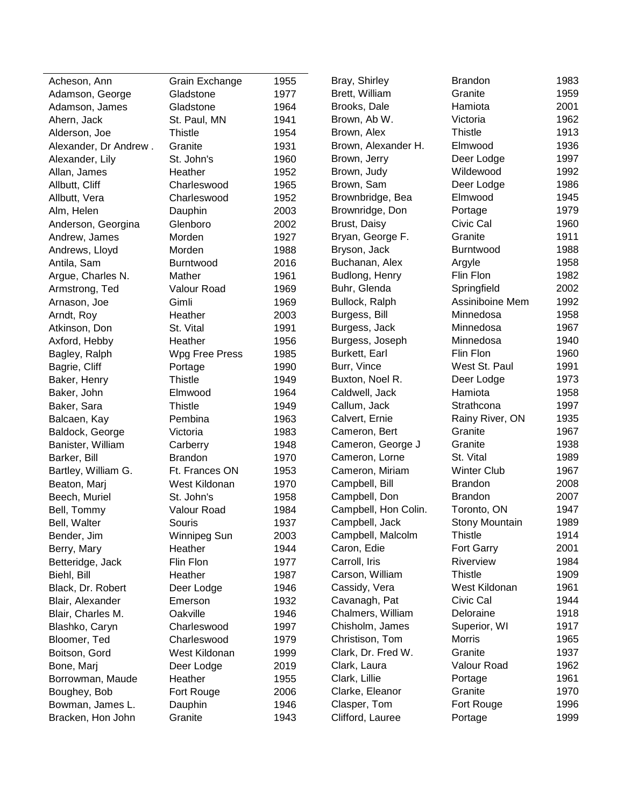| Acheson, Ann          | Grain Exchange | 1955 | Bray, Shirley        | <b>Brandon</b>     | 1983 |
|-----------------------|----------------|------|----------------------|--------------------|------|
| Adamson, George       | Gladstone      | 1977 | Brett, William       | Granite            | 1959 |
| Adamson, James        | Gladstone      | 1964 | Brooks, Dale         | Hamiota            | 2001 |
| Ahern, Jack           | St. Paul, MN   | 1941 | Brown, Ab W.         | Victoria           | 1962 |
| Alderson, Joe         | <b>Thistle</b> | 1954 | Brown, Alex          | <b>Thistle</b>     | 1913 |
| Alexander, Dr Andrew. | Granite        | 1931 | Brown, Alexander H.  | Elmwood            | 1936 |
| Alexander, Lily       | St. John's     | 1960 | Brown, Jerry         | Deer Lodge         | 1997 |
| Allan, James          | Heather        | 1952 | Brown, Judy          | Wildewood          | 1992 |
| Allbutt, Cliff        | Charleswood    | 1965 | Brown, Sam           | Deer Lodge         | 1986 |
| Allbutt, Vera         | Charleswood    | 1952 | Brownbridge, Bea     | Elmwood            | 1945 |
| Alm, Helen            | Dauphin        | 2003 | Brownridge, Don      | Portage            | 1979 |
| Anderson, Georgina    | Glenboro       | 2002 | Brust, Daisy         | Civic Cal          | 1960 |
| Andrew, James         | Morden         | 1927 | Bryan, George F.     | Granite            | 1911 |
| Andrews, Lloyd        | Morden         | 1988 | Bryson, Jack         | Burntwood          | 1988 |
| Antila, Sam           | Burntwood      | 2016 | Buchanan, Alex       | Argyle             | 1958 |
| Argue, Charles N.     | Mather         | 1961 | Budlong, Henry       | Flin Flon          | 1982 |
| Armstrong, Ted        | Valour Road    | 1969 | Buhr, Glenda         | Springfield        | 2002 |
| Arnason, Joe          | Gimli          | 1969 | Bullock, Ralph       | Assiniboine Mem    | 1992 |
| Arndt, Roy            | Heather        | 2003 | Burgess, Bill        | Minnedosa          | 1958 |
| Atkinson, Don         | St. Vital      | 1991 | Burgess, Jack        | Minnedosa          | 1967 |
| Axford, Hebby         | Heather        | 1956 | Burgess, Joseph      | Minnedosa          | 1940 |
| Bagley, Ralph         | Wpg Free Press | 1985 | Burkett, Earl        | Flin Flon          | 1960 |
| Bagrie, Cliff         | Portage        | 1990 | Burr, Vince          | West St. Paul      | 1991 |
| Baker, Henry          | <b>Thistle</b> | 1949 | Buxton, Noel R.      | Deer Lodge         | 1973 |
| Baker, John           | Elmwood        | 1964 | Caldwell, Jack       | Hamiota            | 1958 |
| Baker, Sara           | <b>Thistle</b> | 1949 | Callum, Jack         | Strathcona         | 1997 |
| Balcaen, Kay          | Pembina        | 1963 | Calvert, Ernie       | Rainy River, ON    | 1935 |
| Baldock, George       | Victoria       | 1983 | Cameron, Bert        | Granite            | 1967 |
| Banister, William     | Carberry       | 1948 | Cameron, George J    | Granite            | 1938 |
| Barker, Bill          | <b>Brandon</b> | 1970 | Cameron, Lorne       | St. Vital          | 1989 |
| Bartley, William G.   | Ft. Frances ON | 1953 | Cameron, Miriam      | <b>Winter Club</b> | 1967 |
| Beaton, Marj          | West Kildonan  | 1970 | Campbell, Bill       | <b>Brandon</b>     | 2008 |
| Beech, Muriel         | St. John's     | 1958 | Campbell, Don        | <b>Brandon</b>     | 2007 |
| Bell, Tommy           | Valour Road    | 1984 | Campbell, Hon Colin. | Toronto, ON        | 1947 |
| Bell, Walter          | Souris         | 1937 | Campbell, Jack       | Stony Mountain     | 1989 |
| Bender, Jim           | Winnipeg Sun   | 2003 | Campbell, Malcolm    | <b>Thistle</b>     | 1914 |
| Berry, Mary           | Heather        | 1944 | Caron, Edie          | Fort Garry         | 2001 |
| Betteridge, Jack      | Flin Flon      | 1977 | Carroll, Iris        | Riverview          | 1984 |
| Biehl, Bill           | Heather        | 1987 | Carson, William      | <b>Thistle</b>     | 1909 |
| Black, Dr. Robert     | Deer Lodge     | 1946 | Cassidy, Vera        | West Kildonan      | 1961 |
| Blair, Alexander      | Emerson        | 1932 | Cavanagh, Pat        | Civic Cal          | 1944 |
| Blair, Charles M.     | Oakville       | 1946 | Chalmers, William    | Deloraine          | 1918 |
| Blashko, Caryn        | Charleswood    | 1997 | Chisholm, James      | Superior, WI       | 1917 |
| Bloomer, Ted          | Charleswood    | 1979 | Christison, Tom      | <b>Morris</b>      | 1965 |
| Boitson, Gord         | West Kildonan  | 1999 | Clark, Dr. Fred W.   | Granite            | 1937 |
| Bone, Marj            | Deer Lodge     | 2019 | Clark, Laura         | Valour Road        | 1962 |
| Borrowman, Maude      | Heather        | 1955 | Clark, Lillie        | Portage            | 1961 |
| Boughey, Bob          | Fort Rouge     | 2006 | Clarke, Eleanor      | Granite            | 1970 |
| Bowman, James L.      | Dauphin        | 1946 | Clasper, Tom         | Fort Rouge         | 1996 |
| Bracken, Hon John     | Granite        | 1943 | Clifford, Lauree     | Portage            | 1999 |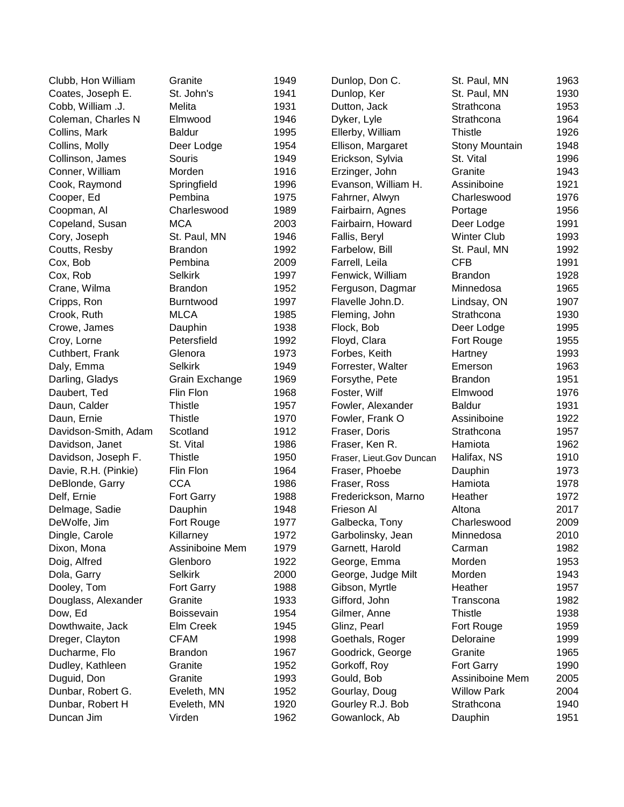| Clubb, Hon William   | Granite           | 1949 | Dunlop, Don C.           | St. Paul, MN       | 1963 |
|----------------------|-------------------|------|--------------------------|--------------------|------|
| Coates, Joseph E.    | St. John's        | 1941 | Dunlop, Ker              | St. Paul, MN       | 1930 |
| Cobb, William .J.    | Melita            | 1931 | Dutton, Jack             | Strathcona         | 1953 |
| Coleman, Charles N   | Elmwood           | 1946 | Dyker, Lyle              | Strathcona         | 1964 |
| Collins, Mark        | <b>Baldur</b>     | 1995 | Ellerby, William         | <b>Thistle</b>     | 1926 |
| Collins, Molly       | Deer Lodge        | 1954 | Ellison, Margaret        | Stony Mountain     | 1948 |
| Collinson, James     | Souris            | 1949 | Erickson, Sylvia         | St. Vital          | 1996 |
| Conner, William      | Morden            | 1916 | Erzinger, John           | Granite            | 1943 |
| Cook, Raymond        | Springfield       | 1996 | Evanson, William H.      | Assiniboine        | 1921 |
| Cooper, Ed           | Pembina           | 1975 | Fahrner, Alwyn           | Charleswood        | 1976 |
| Coopman, Al          | Charleswood       | 1989 | Fairbairn, Agnes         | Portage            | 1956 |
| Copeland, Susan      | <b>MCA</b>        | 2003 | Fairbairn, Howard        | Deer Lodge         | 1991 |
| Cory, Joseph         | St. Paul, MN      | 1946 | Fallis, Beryl            | <b>Winter Club</b> | 1993 |
| Coutts, Resby        | <b>Brandon</b>    | 1992 | Farbelow, Bill           | St. Paul, MN       | 1992 |
| Cox, Bob             | Pembina           | 2009 | Farrell, Leila           | <b>CFB</b>         | 1991 |
| Cox, Rob             | <b>Selkirk</b>    | 1997 | Fenwick, William         | <b>Brandon</b>     | 1928 |
| Crane, Wilma         | <b>Brandon</b>    | 1952 | Ferguson, Dagmar         | Minnedosa          | 1965 |
| Cripps, Ron          | Burntwood         | 1997 | Flavelle John.D.         | Lindsay, ON        | 1907 |
| Crook, Ruth          | <b>MLCA</b>       | 1985 | Fleming, John            | Strathcona         | 1930 |
| Crowe, James         | Dauphin           | 1938 | Flock, Bob               | Deer Lodge         | 1995 |
| Croy, Lorne          | Petersfield       | 1992 | Floyd, Clara             | Fort Rouge         | 1955 |
| Cuthbert, Frank      | Glenora           | 1973 | Forbes, Keith            | Hartney            | 1993 |
| Daly, Emma           | <b>Selkirk</b>    | 1949 | Forrester, Walter        | Emerson            | 1963 |
| Darling, Gladys      | Grain Exchange    | 1969 | Forsythe, Pete           | <b>Brandon</b>     | 1951 |
| Daubert, Ted         | Flin Flon         | 1968 | Foster, Wilf             | Elmwood            | 1976 |
| Daun, Calder         | <b>Thistle</b>    | 1957 | Fowler, Alexander        | <b>Baldur</b>      | 1931 |
| Daun, Ernie          | <b>Thistle</b>    | 1970 | Fowler, Frank O          | Assiniboine        | 1922 |
| Davidson-Smith, Adam | Scotland          | 1912 | Fraser, Doris            | Strathcona         | 1957 |
| Davidson, Janet      | St. Vital         | 1986 | Fraser, Ken R.           | Hamiota            | 1962 |
| Davidson, Joseph F.  | <b>Thistle</b>    | 1950 | Fraser, Lieut.Gov Duncan | Halifax, NS        | 1910 |
| Davie, R.H. (Pinkie) | Flin Flon         | 1964 | Fraser, Phoebe           | Dauphin            | 1973 |
| DeBlonde, Garry      | <b>CCA</b>        | 1986 | Fraser, Ross             | Hamiota            | 1978 |
| Delf, Ernie          | Fort Garry        | 1988 | Frederickson, Marno      | Heather            | 1972 |
| Delmage, Sadie       | Dauphin           | 1948 | Frieson Al               | Altona             | 2017 |
| DeWolfe, Jim         | Fort Rouge        | 1977 | Galbecka, Tony           | Charleswood        | 2009 |
| Dingle, Carole       | Killarney         | 1972 | Garbolinsky, Jean        | Minnedosa          | 2010 |
| Dixon, Mona          | Assiniboine Mem   | 1979 | Garnett, Harold          | Carman             | 1982 |
| Doig, Alfred         | Glenboro          | 1922 | George, Emma             | Morden             | 1953 |
| Dola, Garry          | <b>Selkirk</b>    | 2000 | George, Judge Milt       | Morden             | 1943 |
| Dooley, Tom          | <b>Fort Garry</b> | 1988 | Gibson, Myrtle           | Heather            | 1957 |
| Douglass, Alexander  | Granite           | 1933 | Gifford, John            | Transcona          | 1982 |
| Dow, Ed              | Boissevain        | 1954 | Gilmer, Anne             | <b>Thistle</b>     | 1938 |
| Dowthwaite, Jack     | Elm Creek         | 1945 | Glinz, Pearl             | Fort Rouge         | 1959 |
| Dreger, Clayton      | <b>CFAM</b>       | 1998 | Goethals, Roger          | Deloraine          | 1999 |
| Ducharme, Flo        | <b>Brandon</b>    | 1967 | Goodrick, George         | Granite            | 1965 |
| Dudley, Kathleen     | Granite           | 1952 | Gorkoff, Roy             | Fort Garry         | 1990 |
| Duguid, Don          | Granite           | 1993 | Gould, Bob               | Assiniboine Mem    | 2005 |
| Dunbar, Robert G.    | Eveleth, MN       | 1952 | Gourlay, Doug            | <b>Willow Park</b> | 2004 |
| Dunbar, Robert H     | Eveleth, MN       | 1920 | Gourley R.J. Bob         | Strathcona         | 1940 |
| Duncan Jim           | Virden            | 1962 | Gowanlock, Ab            | Dauphin            | 1951 |
|                      |                   |      |                          |                    |      |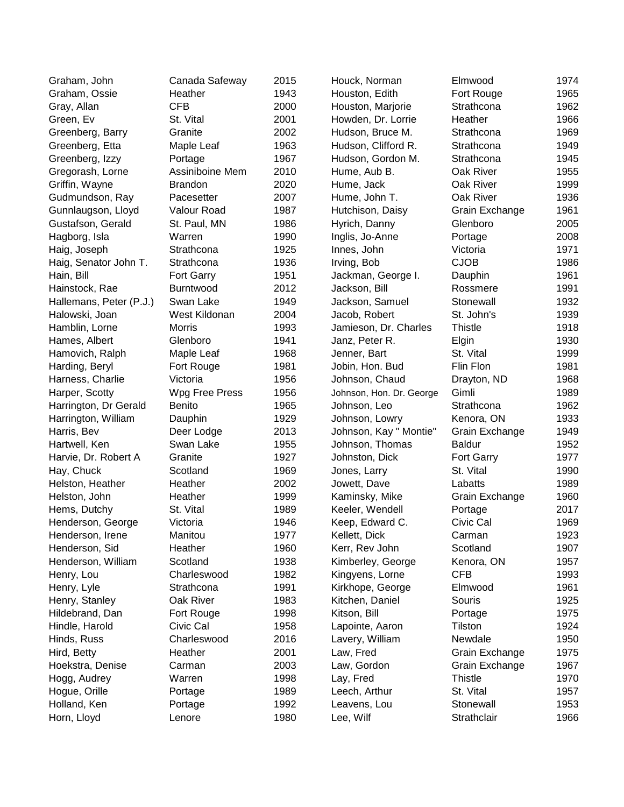| Graham, John            | Canada Safeway   | 2015 | Houck, Norman            | Elmwood        | 1974 |
|-------------------------|------------------|------|--------------------------|----------------|------|
| Graham, Ossie           | Heather          | 1943 | Houston, Edith           | Fort Rouge     | 1965 |
| Gray, Allan             | <b>CFB</b>       | 2000 | Houston, Marjorie        | Strathcona     | 1962 |
| Green, Ev               | St. Vital        | 2001 | Howden, Dr. Lorrie       | Heather        | 1966 |
| Greenberg, Barry        | Granite          | 2002 | Hudson, Bruce M.         | Strathcona     | 1969 |
| Greenberg, Etta         | Maple Leaf       | 1963 | Hudson, Clifford R.      | Strathcona     | 1949 |
| Greenberg, Izzy         | Portage          | 1967 | Hudson, Gordon M.        | Strathcona     | 1945 |
| Gregorash, Lorne        | Assiniboine Mem  | 2010 | Hume, Aub B.             | Oak River      | 1955 |
| Griffin, Wayne          | <b>Brandon</b>   | 2020 | Hume, Jack               | Oak River      | 1999 |
| Gudmundson, Ray         | Pacesetter       | 2007 | Hume, John T.            | Oak River      | 1936 |
| Gunnlaugson, Lloyd      | Valour Road      | 1987 | Hutchison, Daisy         | Grain Exchange | 1961 |
| Gustafson, Gerald       | St. Paul, MN     | 1986 | Hyrich, Danny            | Glenboro       | 2005 |
| Hagborg, Isla           | Warren           | 1990 | Inglis, Jo-Anne          | Portage        | 2008 |
| Haig, Joseph            | Strathcona       | 1925 | Innes, John              | Victoria       | 1971 |
| Haig, Senator John T.   | Strathcona       | 1936 | Irving, Bob              | <b>CJOB</b>    | 1986 |
| Hain, Bill              | Fort Garry       | 1951 | Jackman, George I.       | Dauphin        | 1961 |
| Hainstock, Rae          | <b>Burntwood</b> | 2012 | Jackson, Bill            | Rossmere       | 1991 |
| Hallemans, Peter (P.J.) | Swan Lake        | 1949 | Jackson, Samuel          | Stonewall      | 1932 |
| Halowski, Joan          | West Kildonan    | 2004 | Jacob, Robert            | St. John's     | 1939 |
| Hamblin, Lorne          | Morris           | 1993 | Jamieson, Dr. Charles    | <b>Thistle</b> | 1918 |
| Hames, Albert           | Glenboro         | 1941 | Janz, Peter R.           | Elgin          | 1930 |
| Hamovich, Ralph         | Maple Leaf       | 1968 | Jenner, Bart             | St. Vital      | 1999 |
| Harding, Beryl          | Fort Rouge       | 1981 | Jobin, Hon. Bud          | Flin Flon      | 1981 |
| Harness, Charlie        | Victoria         | 1956 | Johnson, Chaud           | Drayton, ND    | 1968 |
| Harper, Scotty          | Wpg Free Press   | 1956 | Johnson, Hon. Dr. George | Gimli          | 1989 |
| Harrington, Dr Gerald   | Benito           | 1965 | Johnson, Leo             | Strathcona     | 1962 |
| Harrington, William     | Dauphin          | 1929 | Johnson, Lowry           | Kenora, ON     | 1933 |
| Harris, Bev             | Deer Lodge       | 2013 | Johnson, Kay " Montie"   | Grain Exchange | 1949 |
| Hartwell, Ken           | Swan Lake        | 1955 | Johnson, Thomas          | <b>Baldur</b>  | 1952 |
| Harvie, Dr. Robert A    | Granite          | 1927 | Johnston, Dick           | Fort Garry     | 1977 |
| Hay, Chuck              | Scotland         | 1969 | Jones, Larry             | St. Vital      | 1990 |
| Helston, Heather        | Heather          | 2002 | Jowett, Dave             | Labatts        | 1989 |
| Helston, John           | Heather          | 1999 | Kaminsky, Mike           | Grain Exchange | 1960 |
| Hems, Dutchy            | St. Vital        | 1989 | Keeler, Wendell          | Portage        | 2017 |
| Henderson, George       | Victoria         | 1946 | Keep, Edward C.          | Civic Cal      | 1969 |
| Henderson, Irene        | Manitou          | 1977 | Kellett, Dick            | Carman         | 1923 |
| Henderson, Sid          | Heather          | 1960 | Kerr, Rev John           | Scotland       | 1907 |
| Henderson, William      | Scotland         | 1938 | Kimberley, George        | Kenora, ON     | 1957 |
| Henry, Lou              | Charleswood      | 1982 | Kingyens, Lorne          | <b>CFB</b>     | 1993 |
| Henry, Lyle             | Strathcona       | 1991 | Kirkhope, George         | Elmwood        | 1961 |
| Henry, Stanley          | Oak River        | 1983 | Kitchen, Daniel          | Souris         | 1925 |
| Hildebrand, Dan         | Fort Rouge       | 1998 | Kitson, Bill             | Portage        | 1975 |
| Hindle, Harold          | Civic Cal        | 1958 | Lapointe, Aaron          | Tilston        | 1924 |
| Hinds, Russ             | Charleswood      | 2016 | Lavery, William          | Newdale        | 1950 |
| Hird, Betty             | Heather          | 2001 | Law, Fred                | Grain Exchange | 1975 |
| Hoekstra, Denise        | Carman           | 2003 | Law, Gordon              | Grain Exchange | 1967 |
| Hogg, Audrey            | Warren           | 1998 | Lay, Fred                | <b>Thistle</b> | 1970 |
| Hogue, Orille           | Portage          | 1989 | Leech, Arthur            | St. Vital      | 1957 |
| Holland, Ken            | Portage          | 1992 | Leavens, Lou             | Stonewall      | 1953 |
| Horn, Lloyd             | Lenore           | 1980 | Lee, Wilf                | Strathclair    | 1966 |
|                         |                  |      |                          |                |      |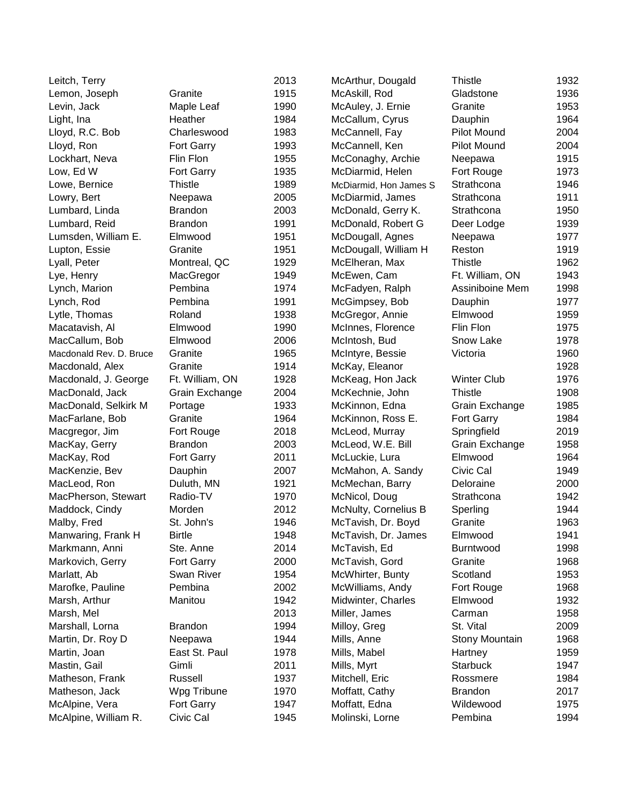| Leitch, Terry           |                   | 2013 | McArthur, Dougald      | Thistle            | 1932 |
|-------------------------|-------------------|------|------------------------|--------------------|------|
| Lemon, Joseph           | Granite           | 1915 | McAskill, Rod          | Gladstone          | 1936 |
| Levin, Jack             | Maple Leaf        | 1990 | McAuley, J. Ernie      | Granite            | 1953 |
| Light, Ina              | Heather           | 1984 | McCallum, Cyrus        | Dauphin            | 1964 |
| Lloyd, R.C. Bob         | Charleswood       | 1983 | McCannell, Fay         | Pilot Mound        | 2004 |
| Lloyd, Ron              | Fort Garry        | 1993 | McCannell, Ken         | Pilot Mound        | 2004 |
| Lockhart, Neva          | Flin Flon         | 1955 | McConaghy, Archie      | Neepawa            | 1915 |
| Low, Ed W               | <b>Fort Garry</b> | 1935 | McDiarmid, Helen       | Fort Rouge         | 1973 |
| Lowe, Bernice           | <b>Thistle</b>    | 1989 | McDiarmid, Hon James S | Strathcona         | 1946 |
| Lowry, Bert             | Neepawa           | 2005 | McDiarmid, James       | Strathcona         | 1911 |
| Lumbard, Linda          | <b>Brandon</b>    | 2003 | McDonald, Gerry K.     | Strathcona         | 1950 |
| Lumbard, Reid           | <b>Brandon</b>    | 1991 | McDonald, Robert G     | Deer Lodge         | 1939 |
| Lumsden, William E.     | Elmwood           | 1951 | McDougall, Agnes       | Neepawa            | 1977 |
| Lupton, Essie           | Granite           | 1951 | McDougall, William H   | Reston             | 1919 |
| Lyall, Peter            | Montreal, QC      | 1929 | McElheran, Max         | <b>Thistle</b>     | 1962 |
| Lye, Henry              | MacGregor         | 1949 | McEwen, Cam            | Ft. William, ON    | 1943 |
| Lynch, Marion           | Pembina           | 1974 | McFadyen, Ralph        | Assiniboine Mem    | 1998 |
| Lynch, Rod              | Pembina           | 1991 | McGimpsey, Bob         | Dauphin            | 1977 |
| Lytle, Thomas           | Roland            | 1938 | McGregor, Annie        | Elmwood            | 1959 |
| Macatavish, Al          | Elmwood           | 1990 | McInnes, Florence      | Flin Flon          | 1975 |
| MacCallum, Bob          | Elmwood           | 2006 | McIntosh, Bud          | Snow Lake          | 1978 |
| Macdonald Rev. D. Bruce | Granite           | 1965 | McIntyre, Bessie       | Victoria           | 1960 |
| Macdonald, Alex         | Granite           | 1914 | McKay, Eleanor         |                    | 1928 |
| Macdonald, J. George    | Ft. William, ON   | 1928 | McKeag, Hon Jack       | <b>Winter Club</b> | 1976 |
| MacDonald, Jack         | Grain Exchange    | 2004 | McKechnie, John        | Thistle            | 1908 |
| MacDonald, Selkirk M    | Portage           | 1933 | McKinnon, Edna         | Grain Exchange     | 1985 |
| MacFarlane, Bob         | Granite           | 1964 | McKinnon, Ross E.      | Fort Garry         | 1984 |
| Macgregor, Jim          | Fort Rouge        | 2018 | McLeod, Murray         | Springfield        | 2019 |
| MacKay, Gerry           | <b>Brandon</b>    | 2003 | McLeod, W.E. Bill      | Grain Exchange     | 1958 |
| MacKay, Rod             | Fort Garry        | 2011 | McLuckie, Lura         | Elmwood            | 1964 |
| MacKenzie, Bev          | Dauphin           | 2007 | McMahon, A. Sandy      | Civic Cal          | 1949 |
| MacLeod, Ron            | Duluth, MN        | 1921 | McMechan, Barry        | Deloraine          | 2000 |
| MacPherson, Stewart     | Radio-TV          | 1970 | McNicol, Doug          | Strathcona         | 1942 |
| Maddock, Cindy          | Morden            | 2012 | McNulty, Cornelius B   | Sperling           | 1944 |
| Malby, Fred             | St. John's        | 1946 | McTavish, Dr. Boyd     | Granite            | 1963 |
| Manwaring, Frank H      | <b>Birtle</b>     | 1948 | McTavish, Dr. James    | Elmwood            | 1941 |
| Markmann, Anni          | Ste. Anne         | 2014 | McTavish, Ed           | <b>Burntwood</b>   | 1998 |
| Markovich, Gerry        | Fort Garry        | 2000 | McTavish, Gord         | Granite            | 1968 |
| Marlatt, Ab             | Swan River        | 1954 | McWhirter, Bunty       | Scotland           | 1953 |
| Marofke, Pauline        | Pembina           | 2002 | McWilliams, Andy       | Fort Rouge         | 1968 |
| Marsh, Arthur           | Manitou           | 1942 | Midwinter, Charles     | Elmwood            | 1932 |
| Marsh, Mel              |                   | 2013 | Miller, James          | Carman             | 1958 |
| Marshall, Lorna         | <b>Brandon</b>    | 1994 | Milloy, Greg           | St. Vital          | 2009 |
| Martin, Dr. Roy D       | Neepawa           | 1944 | Mills, Anne            | Stony Mountain     | 1968 |
| Martin, Joan            | East St. Paul     | 1978 | Mills, Mabel           | Hartney            | 1959 |
| Mastin, Gail            | Gimli             | 2011 | Mills, Myrt            | Starbuck           | 1947 |
| Matheson, Frank         | Russell           | 1937 | Mitchell, Eric         | Rossmere           | 1984 |
| Matheson, Jack          | Wpg Tribune       | 1970 | Moffatt, Cathy         | <b>Brandon</b>     | 2017 |
| McAlpine, Vera          | Fort Garry        | 1947 | Moffatt, Edna          | Wildewood          | 1975 |
| McAlpine, William R.    | Civic Cal         | 1945 | Molinski, Lorne        | Pembina            | 1994 |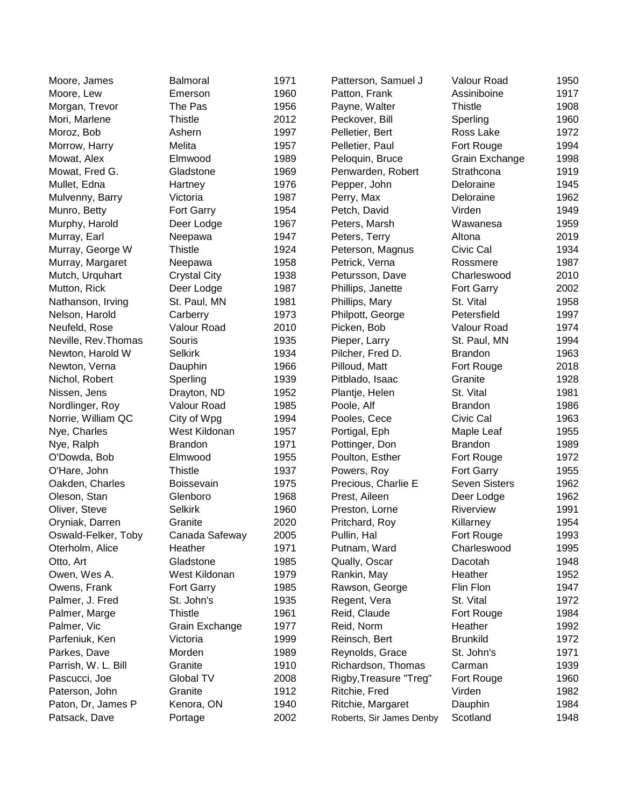| Moore, James         | <b>Balmoral</b>     | 1971 | Patterson, Samuel J      | Valour Road          | 1950 |
|----------------------|---------------------|------|--------------------------|----------------------|------|
| Moore, Lew           | Emerson             | 1960 | Patton, Frank            | Assiniboine          | 1917 |
| Morgan, Trevor       | The Pas             | 1956 | Payne, Walter            | <b>Thistle</b>       | 1908 |
| Mori, Marlene        | <b>Thistle</b>      | 2012 | Peckover, Bill           | Sperling             | 1960 |
| Moroz, Bob           | Ashern              | 1997 | Pelletier, Bert          | Ross Lake            | 1972 |
|                      | Melita              | 1957 | Pelletier, Paul          | Fort Rouge           | 1994 |
| Morrow, Harry        | Elmwood             | 1989 |                          |                      | 1998 |
| Mowat, Alex          |                     | 1969 | Peloquin, Bruce          | Grain Exchange       | 1919 |
| Mowat, Fred G.       | Gladstone           |      | Penwarden, Robert        | Strathcona           |      |
| Mullet, Edna         | Hartney             | 1976 | Pepper, John             | Deloraine            | 1945 |
| Mulvenny, Barry      | Victoria            | 1987 | Perry, Max               | Deloraine            | 1962 |
| Munro, Betty         | Fort Garry          | 1954 | Petch, David             | Virden               | 1949 |
| Murphy, Harold       | Deer Lodge          | 1967 | Peters, Marsh            | Wawanesa             | 1959 |
| Murray, Earl         | Neepawa             | 1947 | Peters, Terry            | Altona               | 2019 |
| Murray, George W     | <b>Thistle</b>      | 1924 | Peterson, Magnus         | Civic Cal            | 1934 |
| Murray, Margaret     | Neepawa             | 1958 | Petrick, Verna           | Rossmere             | 1987 |
| Mutch, Urquhart      | <b>Crystal City</b> | 1938 | Petursson, Dave          | Charleswood          | 2010 |
| Mutton, Rick         | Deer Lodge          | 1987 | Phillips, Janette        | Fort Garry           | 2002 |
| Nathanson, Irving    | St. Paul, MN        | 1981 | Phillips, Mary           | St. Vital            | 1958 |
| Nelson, Harold       | Carberry            | 1973 | Philpott, George         | Petersfield          | 1997 |
| Neufeld, Rose        | Valour Road         | 2010 | Picken, Bob              | Valour Road          | 1974 |
| Neville, Rev. Thomas | Souris              | 1935 | Pieper, Larry            | St. Paul, MN         | 1994 |
| Newton, Harold W     | <b>Selkirk</b>      | 1934 | Pilcher, Fred D.         | <b>Brandon</b>       | 1963 |
| Newton, Verna        | Dauphin             | 1966 | Pilloud, Matt            | Fort Rouge           | 2018 |
| Nichol, Robert       | Sperling            | 1939 | Pitblado, Isaac          | Granite              | 1928 |
| Nissen, Jens         | Drayton, ND         | 1952 | Plantje, Helen           | St. Vital            | 1981 |
| Nordlinger, Roy      | Valour Road         | 1985 | Poole, Alf               | <b>Brandon</b>       | 1986 |
| Norrie, William QC   | City of Wpg         | 1994 | Pooles, Cece             | Civic Cal            | 1963 |
| Nye, Charles         | West Kildonan       | 1957 | Portigal, Eph            | Maple Leaf           | 1955 |
| Nye, Ralph           | <b>Brandon</b>      | 1971 | Pottinger, Don           | <b>Brandon</b>       | 1989 |
| O'Dowda, Bob         | Elmwood             | 1955 | Poulton, Esther          | Fort Rouge           | 1972 |
| O'Hare, John         | <b>Thistle</b>      | 1937 | Powers, Roy              | Fort Garry           | 1955 |
| Oakden, Charles      | <b>Boissevain</b>   | 1975 | Precious, Charlie E      | <b>Seven Sisters</b> | 1962 |
| Oleson, Stan         | Glenboro            | 1968 | Prest, Aileen            | Deer Lodge           | 1962 |
| Oliver, Steve        | <b>Selkirk</b>      | 1960 | Preston, Lorne           | Riverview            | 1991 |
| Oryniak, Darren      | Granite             | 2020 | Pritchard, Roy           | Killarney            | 1954 |
| Oswald-Felker, Toby  | Canada Safeway      | 2005 | Pullin, Hal              | Fort Rouge           | 1993 |
| Oterholm, Alice      | Heather             | 1971 | Putnam, Ward             | Charleswood          | 1995 |
| Otto, Art            | Gladstone           | 1985 | Qually, Oscar            | Dacotah              | 1948 |
| Owen, Wes A.         | West Kildonan       | 1979 | Rankin, May              | Heather              | 1952 |
| Owens, Frank         | Fort Garry          | 1985 | Rawson, George           | Flin Flon            | 1947 |
| Palmer, J. Fred      | St. John's          | 1935 | Regent, Vera             | St. Vital            | 1972 |
| Palmer, Marge        | <b>Thistle</b>      | 1961 | Reid, Claude             | Fort Rouge           | 1984 |
| Palmer, Vic          | Grain Exchange      | 1977 | Reid, Norm               | Heather              | 1992 |
| Parfeniuk, Ken       | Victoria            | 1999 | Reinsch, Bert            | <b>Brunkild</b>      | 1972 |
| Parkes, Dave         | Morden              | 1989 | Reynolds, Grace          | St. John's           | 1971 |
| Parrish, W. L. Bill  | Granite             | 1910 | Richardson, Thomas       | Carman               | 1939 |
| Pascucci, Joe        | Global TV           | 2008 | Rigby, Treasure "Treg"   | Fort Rouge           | 1960 |
| Paterson, John       | Granite             | 1912 | Ritchie, Fred            | Virden               | 1982 |
| Paton, Dr, James P   | Kenora, ON          | 1940 | Ritchie, Margaret        | Dauphin              | 1984 |
| Patsack, Dave        | Portage             | 2002 |                          | Scotland             | 1948 |
|                      |                     |      | Roberts, Sir James Denby |                      |      |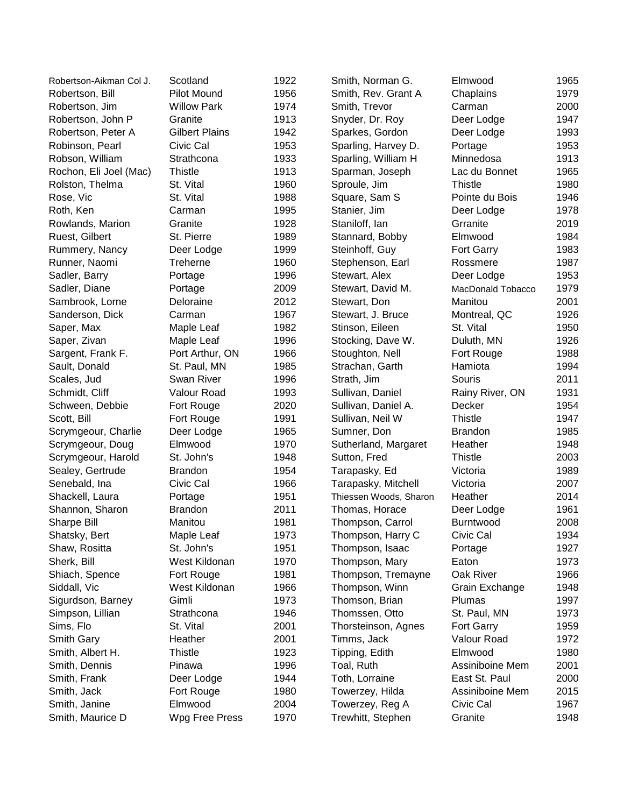| Robertson-Aikman Col J. | Scotland              | 1922 | Smith, Norman G.       | Elmwood           | 1965 |
|-------------------------|-----------------------|------|------------------------|-------------------|------|
| Robertson, Bill         | Pilot Mound           | 1956 | Smith, Rev. Grant A    | Chaplains         | 1979 |
| Robertson, Jim          | <b>Willow Park</b>    | 1974 | Smith, Trevor          | Carman            | 2000 |
| Robertson, John P       | Granite               | 1913 | Snyder, Dr. Roy        | Deer Lodge        | 1947 |
| Robertson, Peter A      | <b>Gilbert Plains</b> | 1942 | Sparkes, Gordon        | Deer Lodge        | 1993 |
| Robinson, Pearl         | Civic Cal             | 1953 | Sparling, Harvey D.    | Portage           | 1953 |
| Robson, William         | Strathcona            | 1933 | Sparling, William H    | Minnedosa         | 1913 |
| Rochon, Eli Joel (Mac)  | <b>Thistle</b>        | 1913 | Sparman, Joseph        | Lac du Bonnet     | 1965 |
| Rolston, Thelma         | St. Vital             | 1960 | Sproule, Jim           | <b>Thistle</b>    | 1980 |
| Rose, Vic               | St. Vital             | 1988 | Square, Sam S          | Pointe du Bois    | 1946 |
| Roth, Ken               | Carman                | 1995 | Stanier, Jim           | Deer Lodge        | 1978 |
| Rowlands, Marion        | Granite               | 1928 | Staniloff, Ian         | Grranite          | 2019 |
| Ruest, Gilbert          | St. Pierre            | 1989 | Stannard, Bobby        | Elmwood           | 1984 |
| Rummery, Nancy          | Deer Lodge            | 1999 | Steinhoff, Guy         | Fort Garry        | 1983 |
| Runner, Naomi           | Treherne              | 1960 | Stephenson, Earl       | Rossmere          | 1987 |
| Sadler, Barry           | Portage               | 1996 | Stewart, Alex          | Deer Lodge        | 1953 |
| Sadler, Diane           | Portage               | 2009 | Stewart, David M.      | MacDonald Tobacco | 1979 |
| Sambrook, Lorne         | Deloraine             | 2012 | Stewart, Don           | Manitou           | 2001 |
| Sanderson, Dick         | Carman                | 1967 | Stewart, J. Bruce      | Montreal, QC      | 1926 |
| Saper, Max              | Maple Leaf            | 1982 | Stinson, Eileen        | St. Vital         | 1950 |
| Saper, Zivan            | Maple Leaf            | 1996 | Stocking, Dave W.      | Duluth, MN        | 1926 |
| Sargent, Frank F.       | Port Arthur, ON       | 1966 | Stoughton, Nell        | Fort Rouge        | 1988 |
| Sault, Donald           | St. Paul, MN          | 1985 | Strachan, Garth        | Hamiota           | 1994 |
| Scales, Jud             | Swan River            | 1996 | Strath, Jim            | Souris            | 2011 |
| Schmidt, Cliff          | Valour Road           | 1993 | Sullivan, Daniel       | Rainy River, ON   | 1931 |
| Schween, Debbie         | Fort Rouge            | 2020 | Sullivan, Daniel A.    | Decker            | 1954 |
| Scott, Bill             | Fort Rouge            | 1991 | Sullivan, Neil W       | <b>Thistle</b>    | 1947 |
| Scrymgeour, Charlie     | Deer Lodge            | 1965 | Sumner, Don            | <b>Brandon</b>    | 1985 |
| Scrymgeour, Doug        | Elmwood               | 1970 | Sutherland, Margaret   | Heather           | 1948 |
| Scrymgeour, Harold      | St. John's            | 1948 | Sutton, Fred           | <b>Thistle</b>    | 2003 |
| Sealey, Gertrude        | <b>Brandon</b>        | 1954 | Tarapasky, Ed          | Victoria          | 1989 |
| Senebald, Ina           | Civic Cal             | 1966 | Tarapasky, Mitchell    | Victoria          | 2007 |
| Shackell, Laura         | Portage               | 1951 | Thiessen Woods, Sharon | Heather           | 2014 |
| Shannon, Sharon         | <b>Brandon</b>        | 2011 | Thomas, Horace         | Deer Lodge        | 1961 |
| Sharpe Bill             | Manitou               | 1981 | Thompson, Carrol       | Burntwood         | 2008 |
| Shatsky, Bert           | Maple Leaf            | 1973 | Thompson, Harry C      | Civic Cal         | 1934 |
| Shaw, Rositta           | St. John's            | 1951 | Thompson, Isaac        | Portage           | 1927 |
| Sherk, Bill             | West Kildonan         | 1970 | Thompson, Mary         | Eaton             | 1973 |
| Shiach, Spence          | Fort Rouge            | 1981 | Thompson, Tremayne     | Oak River         | 1966 |
| Siddall, Vic            | West Kildonan         | 1966 | Thompson, Winn         | Grain Exchange    | 1948 |
| Sigurdson, Barney       | Gimli                 | 1973 | Thomson, Brian         | Plumas            | 1997 |
| Simpson, Lillian        | Strathcona            | 1946 | Thomssen, Otto         | St. Paul, MN      | 1973 |
| Sims, Flo               | St. Vital             | 2001 | Thorsteinson, Agnes    | Fort Garry        | 1959 |
| Smith Gary              | Heather               | 2001 | Timms, Jack            | Valour Road       | 1972 |
| Smith, Albert H.        | <b>Thistle</b>        | 1923 | Tipping, Edith         | Elmwood           | 1980 |
| Smith, Dennis           | Pinawa                | 1996 | Toal, Ruth             | Assiniboine Mem   | 2001 |
| Smith, Frank            | Deer Lodge            | 1944 | Toth, Lorraine         | East St. Paul     | 2000 |
| Smith, Jack             | Fort Rouge            | 1980 | Towerzey, Hilda        | Assiniboine Mem   | 2015 |
| Smith, Janine           | Elmwood               | 2004 | Towerzey, Reg A        | Civic Cal         | 1967 |
| Smith, Maurice D        | Wpg Free Press        | 1970 | Trewhitt, Stephen      | Granite           | 1948 |
|                         |                       |      |                        |                   |      |